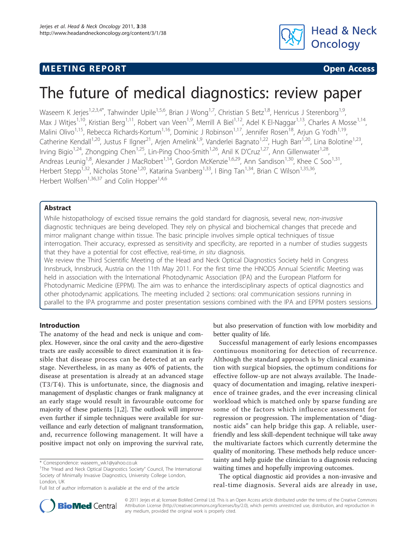# **MEETING REPORT** And the set of the set of the set of the set of the set of the set of the set of the set of the set of the set of the set of the set of the set of the set of the set of the set of the set of the set of the



# The future of medical diagnostics: review paper

Waseem K Jerjes<sup>1,2,3,4\*</sup>, Tahwinder Upile<sup>1,5,6</sup>, Brian J Wong<sup>1,7</sup>, Christian S Betz<sup>1,8</sup>, Henricus J Sterenborg<sup>1,9</sup>, Max J Witjes<sup>1,10</sup>, Kristian Berg<sup>1,11</sup>, Robert van Veen<sup>1,9</sup>, Merrill A Biel<sup>1,12</sup>, Adel K El-Naggar<sup>1,13</sup>, Charles A Mosse<sup>1,14</sup>, Malini Olivo<sup>1,15</sup>, Rebecca Richards-Kortum<sup>1,16</sup>, Dominic J Robinson<sup>1,17</sup>, Jennifer Rosen<sup>18</sup>, Arjun G Yodh<sup>1,19</sup>, Catherine Kendall<sup>1,20</sup>, Justus F Ilgner<sup>21</sup>, Arjen Amelink<sup>1,9</sup>, Vanderlei Bagnato<sup>1,22</sup>, Hugh Barr<sup>1,20</sup>, Lina Bolotine<sup>1,23</sup>, Irving Bigio<sup>1,24</sup>, Zhongping Chen<sup>1,25</sup>, Lin-Ping Choo-Smith<sup>1,26</sup>, Anil K D'Cruz<sup>1,27</sup>, Ann Gillenwater<sup>1,28</sup>, Andreas Leunig<sup>1,8</sup>, Alexander J MacRobert<sup>1,14</sup>, Gordon McKenzie<sup>1,6,29</sup>, Ann Sandison<sup>1,30</sup>, Khee C Soo<sup>1,31</sup>, Herbert Stepp<sup>1,32</sup>, Nicholas Stone<sup>1,20</sup>, Katarina Svanberg<sup>1,33</sup>, I Bing Tan<sup>1,34</sup>, Brian C Wilson<sup>1,35,36</sup>, Herbert Wolfsen<sup>1,36,37</sup> and Colin Hopper<sup>1,4,6</sup>

# Abstract

While histopathology of excised tissue remains the gold standard for diagnosis, several new, non-invasive diagnostic techniques are being developed. They rely on physical and biochemical changes that precede and mirror malignant change within tissue. The basic principle involves simple optical techniques of tissue interrogation. Their accuracy, expressed as sensitivity and specificity, are reported in a number of studies suggests that they have a potential for cost effective, real-time, in situ diagnosis.

We review the Third Scientific Meeting of the Head and Neck Optical Diagnostics Society held in Congress Innsbruck, Innsbruck, Austria on the 11th May 2011. For the first time the HNODS Annual Scientific Meeting was held in association with the International Photodynamic Association (IPA) and the European Platform for Photodynamic Medicine (EPPM). The aim was to enhance the interdisciplinary aspects of optical diagnostics and other photodynamic applications. The meeting included 2 sections: oral communication sessions running in parallel to the IPA programme and poster presentation sessions combined with the IPA and EPPM posters sessions.

# Introduction

The anatomy of the head and neck is unique and complex. However, since the oral cavity and the aero-digestive tracts are easily accessible to direct examination it is feasible that disease process can be detected at an early stage. Nevertheless, in as many as 40% of patients, the disease at presentation is already at an advanced stage (T3/T4). This is unfortunate, since, the diagnosis and management of dysplastic changes or frank malignancy at an early stage would result in favourable outcome for majority of these patients [\[1,2](#page-6-0)]. The outlook will improve even further if simple techniques were available for surveillance and early detection of malignant transformation, and, recurrence following management. It will have a positive impact not only on improving the survival rate,

but also preservation of function with low morbidity and better quality of life.

Successful management of early lesions encompasses continuous monitoring for detection of recurrence. Although the standard approach is by clinical examination with surgical biopsies, the optimum conditions for effective follow-up are not always available. The Inadequacy of documentation and imaging, relative inexperience of trainee grades, and the ever increasing clinical workload which is matched only by sparse funding are some of the factors which influence assessment for regression or progression. The implementation of "diagnostic aids" can help bridge this gap. A reliable, userfriendly and less skill-dependent technique will take away the multivariate factors which currently determine the quality of monitoring. These methods help reduce uncertainty and help guide the clinician to a diagnosis reducing waiting times and hopefully improving outcomes.

The optical diagnostic aid provides a non-invasive and real-time diagnosis. Several aids are already in use,



© 2011 Jerjes et al; licensee BioMed Central Ltd. This is an Open Access article distributed under the terms of the Creative Commons Attribution License [\(http://creativecommons.org/licenses/by/2.0](http://creativecommons.org/licenses/by/2.0)), which permits unrestricted use, distribution, and reproduction in any medium, provided the original work is properly cited.

<sup>\*</sup> Correspondence: [waseem\\_wk1@yahoo.co.uk](mailto:waseem_wk1@yahoo.co.uk)

<sup>&</sup>lt;sup>1</sup>The "Head and Neck Optical Diagnostics Society" Council, The International Society of Minimally Invasive Diagnostics, University College London, London, UK

Full list of author information is available at the end of the article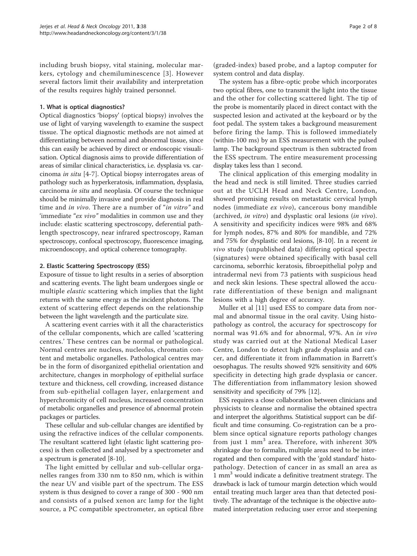including brush biopsy, vital staining, molecular markers, cytology and chemiluminescence [[3\]](#page-6-0). However several factors limit their availability and interpretation of the results requires highly trained personnel.

# 1. What is optical diagnostics?

Optical diagnostics 'biopsy' (optical biopsy) involves the use of light of varying wavelength to examine the suspect tissue. The optical diagnostic methods are not aimed at differentiating between normal and abnormal tissue, since this can easily be achieved by direct or endoscopic visualisation. Optical diagnosis aims to provide differentiation of areas of similar clinical characteristics, i.e. dysplasia vs. carcinoma in situ [\[4](#page-6-0)-[7\]](#page-6-0). Optical biopsy interrogates areas of pathology such as hyperkeratosis, inflammation, dysplasia, carcinoma in situ and neoplasia. Of course the technique should be minimally invasive and provide diagnosis in real time and *in vivo*. There are a number of "*in vitro*" and 'immediate "ex vivo" modalities in common use and they include: elastic scattering spectroscopy, deferential pathlength spectroscopy, near infrared spectroscopy, Raman spectroscopy, confocal spectroscopy, fluorescence imaging, microendoscopy, and optical coherence tomography.

# 2. Elastic Scattering Spectroscopy (ESS)

Exposure of tissue to light results in a series of absorption and scattering events. The light beam undergoes single or multiple elastic scattering which implies that the light returns with the same energy as the incident photons. The extent of scattering effect depends on the relationship between the light wavelength and the particulate size.

A scattering event carries with it all the characteristics of the cellular components, which are called 'scattering centres.' These centres can be normal or pathological. Normal centres are nucleus, nucleolus, chromatin content and metabolic organelles. Pathological centres may be in the form of disorganized epithelial orientation and architecture, changes in morphology of epithelial surface texture and thickness, cell crowding, increased distance from sub-epithelial collagen layer, enlargement and hyperchromicity of cell nucleus, increased concentration of metabolic organelles and presence of abnormal protein packages or particles.

These cellular and sub-cellular changes are identified by using the refractive indices of the cellular components. The resultant scattered light (elastic light scattering process) is then collected and analysed by a spectrometer and a spectrum is generated [\[8-10\]](#page-6-0).

The light emitted by cellular and sub-cellular organelles ranges from 330 nm to 850 nm, which is within the near UV and visible part of the spectrum. The ESS system is thus designed to cover a range of 300 - 900 nm and consists of a pulsed xenon arc lamp for the light source, a PC compatible spectrometer, an optical fibre (graded-index) based probe, and a laptop computer for system control and data display.

The system has a fibre-optic probe which incorporates two optical fibres, one to transmit the light into the tissue and the other for collecting scattered light. The tip of the probe is momentarily placed in direct contact with the suspected lesion and activated at the keyboard or by the foot pedal. The system takes a background measurement before firing the lamp. This is followed immediately (within-100 ms) by an ESS measurement with the pulsed lamp. The background spectrum is then subtracted from the ESS spectrum. The entire measurement processing display takes less than 1 second.

The clinical application of this emerging modality in the head and neck is still limited. Three studies carried out at the UCLH Head and Neck Centre, London, showed promising results on metastatic cervical lymph nodes (immediate ex vivo), cancerous bony mandible (archived, in vitro) and dysplastic oral lesions (in vivo). A sensitivity and specificity indices were 98% and 68% for lymph nodes, 87% and 80% for mandible, and 72% and 75% for dysplastic oral lesions, [\[8](#page-6-0)-[10\]](#page-6-0). In a recent in vivo study (unpublished data) differing optical spectra (signatures) were obtained specifically with basal cell carcinoma, seborrhic keratosis, fibroepithelial polyp and intradermal nevi from 73 patients with suspicious head and neck skin lesions. These spectral allowed the accurate differentiation of these benign and malignant lesions with a high degree of accuracy.

Muller et al [\[11](#page-6-0)] used ESS to compare data from normal and abnormal tissue in the oral cavity. Using histopathology as control, the accuracy for spectroscopy for normal was 91.6% and for abnormal, 97%. An in vivo study was carried out at the National Medical Laser Centre, London to detect high grade dysplasia and cancer, and differentiate it from inflammation in Barrett's oesophagus. The results showed 92% sensitivity and 60% specificity in detecting high grade dysplasia or cancer. The differentiation from inflammatory lesion showed sensitivity and specificity of 79% [[12](#page-6-0)].

ESS requires a close collaboration between clinicians and physicists to cleanse and normalise the obtained spectra and interpret the algorithms. Statistical support can be difficult and time consuming. Co-registration can be a problem since optical signature reports pathology changes from just  $1 \text{ mm}^3$  area. Therefore, with inherent 30% shrinkage due to formalin, multiple areas need to be interrogated and then compared with the 'gold standard' histopathology. Detection of cancer in as small an area as 1 mm<sup>3</sup> would indicate a definitive treatment strategy. The drawback is lack of tumour margin detection which would entail treating much larger area than that detected positively. The advantage of the technique is the objective automated interpretation reducing user error and steepening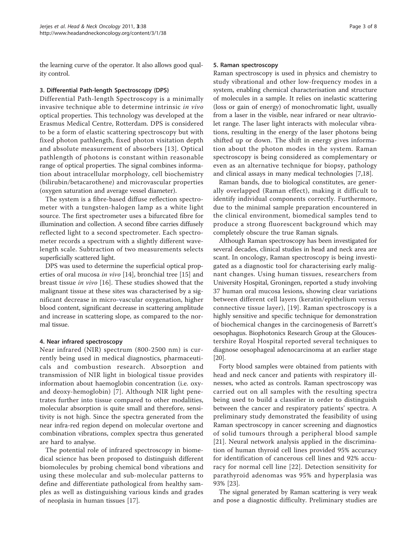the learning curve of the operator. It also allows good quality control.

#### 3. Differential Path-length Spectroscopy (DPS)

Differential Path-length Spectroscopy is a minimally invasive technique able to determine intrinsic in vivo optical properties. This technology was developed at the Erasmus Medical Centre, Rotterdam. DPS is considered to be a form of elastic scattering spectroscopy but with fixed photon pathlength, fixed photon visitation depth and absolute measurement of absorbers [[13](#page-6-0)]. Optical pathlength of photons is constant within reasonable range of optical properties. The signal combines information about intracellular morphology, cell biochemistry (bilirubin/betacarothene) and microvascular properties (oxygen saturation and average vessel diameter).

The system is a fibre-based diffuse reflection spectrometer with a tungsten-halogen lamp as a white light source. The first spectrometer uses a bifurcated fibre for illumination and collection. A second fibre carries diffusely reflected light to a second spectrometer. Each spectrometer records a spectrum with a slightly different wavelength scale. Subtraction of two measurements selects superficially scattered light.

DPS was used to determine the superficial optical prop-erties of oral mucosa in vivo [\[14](#page-6-0)], bronchial tree [[15](#page-6-0)] and breast tissue in vivo [\[16\]](#page-6-0). These studies showed that the malignant tissue at these sites was characterised by a significant decrease in micro-vascular oxygenation, higher blood content, significant decrease in scattering amplitude and increase in scattering slope, as compared to the normal tissue.

#### 4. Near infrared spectroscopy

Near infrared (NIR) spectrum (800-2500 nm) is currently being used in medical diagnostics, pharmaceuticals and combustion research. Absorption and transmission of NIR light in biological tissue provides information about haemoglobin concentration (i.e. oxyand deoxy-hemoglobin) [\[7](#page-6-0)]. Although NIR light penetrates further into tissue compared to other modalities, molecular absorption is quite small and therefore, sensitivity is not high. Since the spectra generated from the near infra-red region depend on molecular overtone and combination vibrations, complex spectra thus generated are hard to analyse.

The potential role of infrared spectroscopy in biomedical science has been proposed to distinguish different biomolecules by probing chemical bond vibrations and using these molecular and sub-molecular patterns to define and differentiate pathological from healthy samples as well as distinguishing various kinds and grades of neoplasia in human tissues [[17](#page-6-0)].

#### 5. Raman spectroscopy

Raman spectroscopy is used in physics and chemistry to study vibrational and other low-frequency modes in a system, enabling chemical characterisation and structure of molecules in a sample. It relies on inelastic scattering (loss or gain of energy) of monochromatic light, usually from a laser in the visible, near infrared or near ultraviolet range. The laser light interacts with molecular vibrations, resulting in the energy of the laser photons being shifted up or down. The shift in energy gives information about the photon modes in the system. Raman spectroscopy is being considered as complementary or even as an alternative technique for biopsy, pathology and clinical assays in many medical technologies [\[7,18\]](#page-6-0).

Raman bands, due to biological constitutes, are generally overlapped (Raman effect), making it difficult to identify individual components correctly. Furthermore, due to the minimal sample preparation encountered in the clinical environment, biomedical samples tend to produce a strong fluorescent background which may completely obscure the true Raman signals.

Although Raman spectroscopy has been investigated for several decades, clinical studies in head and neck area are scant. In oncology, Raman spectroscopy is being investigated as a diagnostic tool for characterising early malignant changes. Using human tissues, researchers from University Hospital, Groningen, reported a study involving 37 human oral mucosa lesions, showing clear variations between different cell layers (keratin/epithelium versus connective tissue layer), [[19](#page-6-0)]. Raman spectroscopy is a highly sensitive and specific technique for demonstration of biochemical changes in the carcinogenesis of Barrett's oesophagus. Biophotonics Research Group at the Gloucestershire Royal Hospital reported several techniques to diagnose oesophageal adenocarcinoma at an earlier stage [[20](#page-6-0)].

Forty blood samples were obtained from patients with head and neck cancer and patients with respiratory illnesses, who acted as controls. Raman spectroscopy was carried out on all samples with the resulting spectra being used to build a classifier in order to distinguish between the cancer and respiratory patients' spectra. A preliminary study demonstrated the feasibility of using Raman spectroscopy in cancer screening and diagnostics of solid tumours through a peripheral blood sample [[21\]](#page-7-0). Neural network analysis applied in the discrimination of human thyroid cell lines provided 95% accuracy for identification of cancerous cell lines and 92% accuracy for normal cell line [\[22](#page-7-0)]. Detection sensitivity for parathyroid adenomas was 95% and hyperplasia was 93% [[23](#page-7-0)].

The signal generated by Raman scattering is very weak and pose a diagnostic difficulty. Preliminary studies are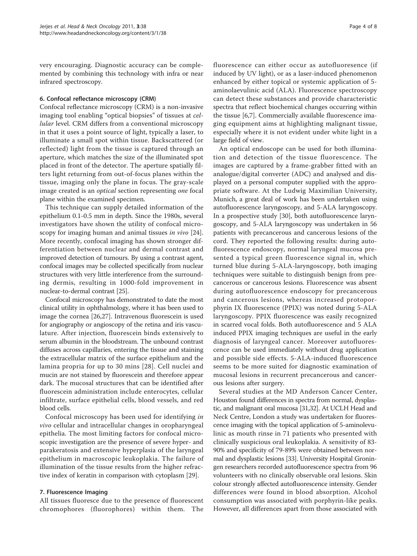very encouraging. Diagnostic accuracy can be complemented by combining this technology with infra or near infrared spectroscopy.

# 6. Confocal reflectance microscopy (CRM)

Confocal reflectance microscopy (CRM) is a non-invasive imaging tool enabling "optical biopsies" of tissues at cellular level. CRM differs from a conventional microscopy in that it uses a point source of light, typically a laser, to illuminate a small spot within tissue. Backscattered (or reflected) light from the tissue is captured through an aperture, which matches the size of the illuminated spot placed in front of the detector. The aperture spatially filters light returning from out-of-focus planes within the tissue, imaging only the plane in focus. The gray-scale image created is an optical section representing one focal plane within the examined specimen.

This technique can supply detailed information of the epithelium 0.1-0.5 mm in depth. Since the 1980s, several investigators have shown the utility of confocal micro-scopy for imaging human and animal tissues in vivo [\[24](#page-7-0)]. More recently, confocal imaging has shown stronger differentiation between nuclear and dermal contrast and improved detection of tumours. By using a contrast agent, confocal images may be collected specifically from nuclear structures with very little interference from the surrounding dermis, resulting in 1000-fold improvement in nuclear-to-dermal contrast [\[25\]](#page-7-0).

Confocal microscopy has demonstrated to date the most clinical utility in ophthalmology, where it has been used to image the cornea [\[26,27](#page-7-0)]. Intravenous fluorescein is used for angiography or angioscopy of the retina and iris vasculature. After injection, fluorescein binds extensively to serum albumin in the bloodstream. The unbound contrast diffuses across capillaries, entering the tissue and staining the extracellular matrix of the surface epithelium and the lamina propria for up to 30 mins [[28](#page-7-0)]. Cell nuclei and mucin are not stained by fluorescein and therefore appear dark. The mucosal structures that can be identified after fluorescein administration include enterocytes, cellular infiltrate, surface epithelial cells, blood vessels, and red blood cells.

Confocal microscopy has been used for identifying in vivo cellular and intracellular changes in oropharyngeal epithelia. The most limiting factors for confocal microscopic investigation are the presence of severe hyper- and parakeratosis and extensive hyperplasia of the laryngeal epithelium in macroscopic leukoplakia. The failure of illumination of the tissue results from the higher refractive index of keratin in comparison with cytoplasm [\[29\]](#page-7-0).

#### 7. Fluorescence Imaging

All tissues fluoresce due to the presence of fluorescent chromophores (fluorophores) within them. The fluorescence can either occur as autofluoresence (if induced by UV light), or as a laser-induced phenomenon enhanced by either topical or systemic application of 5 aminolaevulinic acid (ALA). Fluorescence spectroscopy can detect these substances and provide characteristic spectra that reflect biochemical changes occurring within the tissue [\[6,7](#page-6-0)]. Commercially available fluorescence imaging equipment aims at highlighting malignant tissue, especially where it is not evident under white light in a large field of view.

An optical endoscope can be used for both illumination and detection of the tissue fluorescence. The images are captured by a frame-grabber fitted with an analogue/digital converter (ADC) and analysed and displayed on a personal computer supplied with the appropriate software. At the Ludwig Maximilian University, Munich, a great deal of work has been undertaken using autofluorescence laryngoscopy, and 5-ALA laryngoscopy. In a prospective study [\[30](#page-7-0)], both autofluorescence laryngoscopy, and 5-ALA laryngoscopy was undertaken in 56 patients with precancerous and cancerous lesions of the cord. They reported the following results: during autofluorescence endoscopy, normal laryngeal mucosa presented a typical green fluorescence signal in, which turned blue during 5-ALA-laryngoscopy, both imaging techniques were suitable to distinguish benign from precancerous or cancerous lesions. Fluorescence was absent during autofluorescence endoscopy for precancerous and cancerous lesions, whereas increased protoporphyrin IX fluorescence (PPIX) was noted during 5-ALA laryngoscopy. PPIX fluorescence was easily recognized in scarred vocal folds. Both autofluorescence and 5 ALA induced PPIX imaging techniques are useful in the early diagnosis of laryngeal cancer. Moreover autofluorescence can be used immediately without drug application and possible side effects. 5-ALA-induced fluorescence seems to be more suited for diagnostic examination of mucosal lesions in recurrent precancerous and cancerous lesions after surgery.

Several studies at the MD Anderson Cancer Center, Houston found differences in spectra from normal, dysplastic, and malignant oral mucosa [\[31,32](#page-7-0)]. At UCLH Head and Neck Centre, London a study was undertaken for fluorescence imaging with the topical application of 5-aminolevulinic as mouth rinse in 71 patients who presented with clinically suspicious oral leukoplakia. A sensitivity of 83- 90% and specificity of 79-89% were obtained between normal and dysplastic lesions [\[33\]](#page-7-0). University Hospital Groningen researchers recorded autofluorescence spectra from 96 volunteers with no clinically observable oral lesions. Skin colour strongly affected autofluorescence intensity. Gender differences were found in blood absorption. Alcohol consumption was associated with porphyrin-like peaks. However, all differences apart from those associated with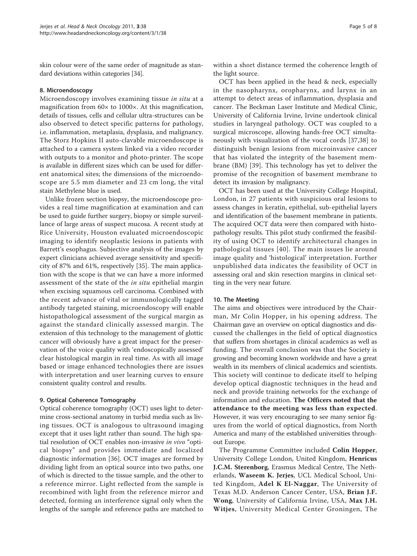skin colour were of the same order of magnitude as standard deviations within categories [[34](#page-7-0)].

#### 8. Microendoscopy

Microendoscopy involves examining tissue in situ at a magnification from 60× to 1000×. At this magnification, details of tissues, cells and cellular ultra-structures can be also observed to detect specific patterns for pathology, i.e. inflammation, metaplasia, dysplasia, and malignancy. The Storz Hopkins II auto-clavable microendoscope is attached to a camera system linked via a video recorder with outputs to a monitor and photo-printer. The scope is available in different sizes which can be used for different anatomical sites; the dimensions of the microendoscope are 5.5 mm diameter and 23 cm long, the vital stain Methylene blue is used.

Unlike frozen section biopsy, the microendoscope provides a real time magnification at examination and can be used to guide further surgery, biopsy or simple surveillance of large areas of suspect mucosa. A recent study at Rice University, Houston evaluated microendoscopic imaging to identify neoplastic lesions in patients with Barrett's esophagus. Subjective analysis of the images by expert clinicians achieved average sensitivity and specificity of 87% and 61%, respectively [[35](#page-7-0)]. The main application with the scope is that we can have a more informed assessment of the state of the *in situ* epithelial margin when excising squamous cell carcinoma. Combined with the recent advance of vital or immunologically tagged antibody targeted staining, microendoscopy will enable histopathological assessment of the surgical margin as against the standard clinically assessed margin. The extension of this technology to the management of glottic cancer will obviously have a great impact for the preservation of the voice quality with 'endoscopically assessed' clear histological margin in real time. As with all image based or image enhanced technologies there are issues with interpretation and user learning curves to ensure consistent quality control and results.

#### 9. Optical Coherence Tomography

Optical coherence tomography (OCT) uses light to determine cross-sectional anatomy in turbid media such as living tissues. OCT is analogous to ultrasound imaging except that it uses light rather than sound. The high spatial resolution of OCT enables non-invasive in vivo "optical biopsy" and provides immediate and localized diagnostic information [[36](#page-7-0)]. OCT images are formed by dividing light from an optical source into two paths, one of which is directed to the tissue sample, and the other to a reference mirror. Light reflected from the sample is recombined with light from the reference mirror and detected, forming an interference signal only when the lengths of the sample and reference paths are matched to within a short distance termed the coherence length of the light source.

OCT has been applied in the head & neck, especially in the nasopharynx, oropharynx, and larynx in an attempt to detect areas of inflammation, dysplasia and cancer. The Beckman Laser Institute and Medical Clinic, University of California Irvine, Irvine undertook clinical studies in laryngeal pathology. OCT was coupled to a surgical microscope, allowing hands-free OCT simultaneously with visualization of the vocal cords [[37,38](#page-7-0)] to distinguish benign lesions from microinvasive cancer that has violated the integrity of the basement membrane (BM) [[39\]](#page-7-0). This technology has yet to deliver the promise of the recognition of basement membrane to detect its invasion by malignancy.

OCT has been used at the University College Hospital, London, in 27 patients with suspicious oral lesions to assess changes in keratin, epithelial, sub-epithelial layers and identification of the basement membrane in patients. The acquired OCT data were then compared with histopathology results. This pilot study confirmed the feasibility of using OCT to identify architectural changes in pathological tissues [[40](#page-7-0)]. The main issues lie around image quality and 'histological' interpretation. Further unpublished data indicates the feasibility of OCT in assessing oral and skin resection margins in clinical setting in the very near future.

#### 10. The Meeting

The aims and objectives were introduced by the Chairman, Mr Colin Hopper, in his opening address. The Chairman gave an overview on optical diagnostics and discussed the challenges in the field of optical diagnostics that suffers from shortages in clinical academics as well as funding. The overall conclusion was that the Society is growing and becoming known worldwide and have a great wealth in its members of clinical academics and scientists. This society will continue to dedicate itself to helping develop optical diagnostic techniques in the head and neck and provide training networks for the exchange of information and education. The Officers noted that the attendance to the meeting was less than expected. However, it was very encouraging to see many senior figures from the world of optical diagnostics, from North America and many of the established universities throughout Europe.

The Programme Committee included Colin Hopper, University College London, United Kingdom, Henricus J.C.M. Sterenborg, Erasmus Medical Centre, The Netherlands, Waseem K. Jerjes, UCL Medical School, United Kingdom, Adel K El-Naggar, The University of Texas M.D. Anderson Cancer Center, USA, Brian J.F. Wong, University of California Irvine, USA, Max J.H. Witjes, University Medical Center Groningen, The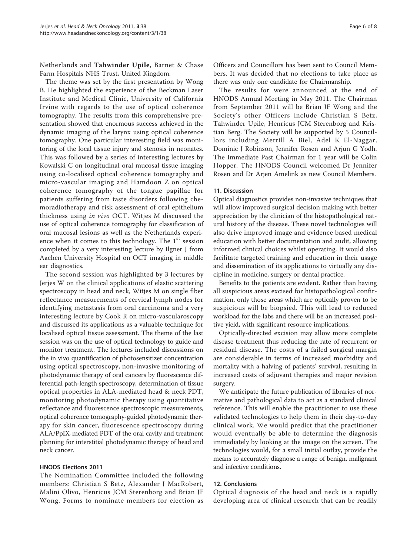Netherlands and Tahwinder Upile, Barnet & Chase Farm Hospitals NHS Trust, United Kingdom.

The theme was set by the first presentation by Wong B. He highlighted the experience of the Beckman Laser Institute and Medical Clinic, University of California Irvine with regards to the use of optical coherence tomography. The results from this comprehensive presentation showed that enormous success achieved in the dynamic imaging of the larynx using optical coherence tomography. One particular interesting field was monitoring of the local tissue injury and stenosis in neonates. This was followed by a series of interesting lectures by Kowalski C on longitudinal oral mucosal tissue imaging using co-localised optical coherence tomography and micro-vascular imaging and Hamdoon Z on optical coherence tomography of the tongue papillae for patients suffering from taste disorders following chemoradiotherapy and risk assessment of oral epithelium thickness using in vivo OCT. Witjes M discussed the use of optical coherence tomography for classification of oral mucosal lesions as well as the Netherlands experience when it comes to this technology. The  $1<sup>st</sup>$  session completed by a very interesting lecture by Ilgner J from Aachen University Hospital on OCT imaging in middle ear diagnostics.

The second session was highlighted by 3 lectures by Jerjes W on the clinical applications of elastic scattering spectroscopy in head and neck, Witjes M on single fiber reflectance measurements of cervical lymph nodes for identifying metastasis from oral carcinoma and a very interesting lecture by Cook R on micro-vascularoscopy and discussed its applications as a valuable technique for localised optical tissue assessment. The theme of the last session was on the use of optical technology to guide and monitor treatment. The lectures included discussions on the in vivo quantification of photosensitizer concentration using optical spectroscopy, non-invasive monitoring of photodynamic therapy of oral cancers by fluorescence differential path-length spectroscopy, determination of tissue optical properties in ALA-mediated head & neck PDT, monitoring photodynamic therapy using quantitative reflectance and fluorescence spectroscopic measurements, optical coherence tomography-guided photodynamic therapy for skin cancer, fluorescence spectroscopy during ALA/PpIX-mediated PDT of the oral cavity and treatment planning for interstitial photodynamic therapy of head and neck cancer.

# HNODS Elections 2011

The Nomination Committee included the following members: Christian S Betz, Alexander J MacRobert, Malini Olivo, Henricus JCM Sterenborg and Brian JF Wong. Forms to nominate members for election as

Officers and Councillors has been sent to Council Members. It was decided that no elections to take place as there was only one candidate for Chairmanship.

The results for were announced at the end of HNODS Annual Meeting in May 2011. The Chairman from September 2011 will be Brian JF Wong and the Society's other Officers include Christian S Betz, Tahwinder Upile, Henricus JCM Sterenborg and Kristian Berg. The Society will be supported by 5 Councillors including Merrill A Biel, Adel K El-Naggar, Dominic J Robinson, Jennifer Rosen and Arjun G Yodh. The Immediate Past Chairman for 1 year will be Colin Hopper. The HNODS Council welcomed Dr Jennifer Rosen and Dr Arjen Amelink as new Council Members.

#### 11. Discussion

Optical diagnostics provides non-invasive techniques that will allow improved surgical decision making with better appreciation by the clinician of the histopathological natural history of the disease. These novel technologies will also drive improved image and evidence based medical education with better documentation and audit, allowing informed clinical choices whilst operating. It would also facilitate targeted training and education in their usage and dissemination of its applications to virtually any discipline in medicine, surgery or dental practice.

Benefits to the patients are evident. Rather than having all suspicious areas excised for histopathological confirmation, only those areas which are optically proven to be suspicious will be biopsied. This will lead to reduced workload for the labs and there will be an increased positive yield, with significant resource implications.

Optically-directed excision may allow more complete disease treatment thus reducing the rate of recurrent or residual disease. The costs of a failed surgical margin are considerable in terms of increased morbidity and mortality with a halving of patients' survival, resulting in increased costs of adjuvant therapies and major revision surgery.

We anticipate the future publication of libraries of normative and pathological data to act as a standard clinical reference. This will enable the practitioner to use these validated technologies to help them in their day-to-day clinical work. We would predict that the practitioner would eventually be able to determine the diagnosis immediately by looking at the image on the screen. The technologies would, for a small initial outlay, provide the means to accurately diagnose a range of benign, malignant and infective conditions.

# 12. Conclusions

Optical diagnosis of the head and neck is a rapidly developing area of clinical research that can be readily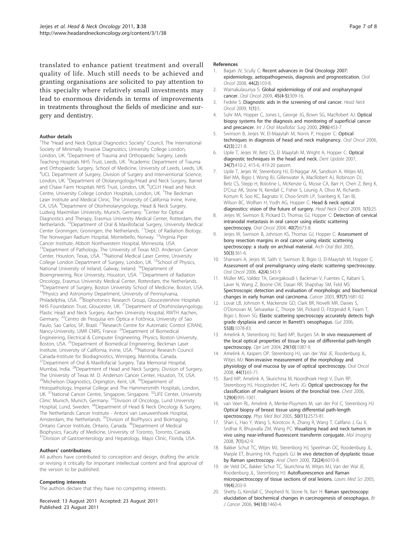<span id="page-6-0"></span>translated to enhance patient treatment and overall quality of life. Much still needs to be achieved and granting organisations are solicited to pay attention to this specialty where relatively small investments may lead to enormous dividends in terms of improvements in treatments throughout the fields of medicine and surgery and dentistry.

#### Author details

<sup>1</sup>The "Head and Neck Optical Diagnostics Society" Council, The International Society of Minimally Invasive Diagnostics, University College London, London, UK. <sup>2</sup>Department of Trauma and Orthopaedic Surgery, Leeds Teaching Hospitals NHS Trust, Leeds, UK. <sup>3</sup>Academic Department of Trauma and Orthopaedic Surgery, School of Medicine, University of Leeds, Leeds, UK. <sup>4</sup>UCL Department of Surgery, Division of Surgery and Interventional Science, London, UK. <sup>5</sup>Department of Otolaryngology/Head and Neck Surgery, Barnet and Chase Farm Hospitals NHS Trust, London, UK. <sup>6</sup>UCLH Head and Neck Centre, University College London Hospitals, London, UK. <sup>7</sup>The Beckman Laser Institute and Medical Clinic, The University of California Irvine, Irvine, CA, USA. <sup>8</sup>Department of Otorhinolaryngology, Head & Neck Surgery, Ludwig Maximilian University, Munich, Germany. <sup>9</sup>Center for Optical Diagnostics and Therapy, Erasmus University Medical Center, Rotterdam, the Netherlands. <sup>10</sup>Department of Oral & Maxillofacial Surgery, University Medical Center Groningen, Groningen, the Netherlands. <sup>11</sup>Dept. of Radiation Biology, The Norwegian Radium Hospital, Montebello, Norway. <sup>12</sup>Virginia Piper Cancer Institute, Abbott Northwestern Hospital, Minnesota, USA. <sup>13</sup>Department of Pathology, The University of Texas M.D. Anderson Cancer Center, Houston, Texas, USA. 14National Medical Laser Centre, University College London Department of Surgery, London, UK.<sup>15</sup>School of Physics, National University of Ireland, Galway, Ireland. <sup>16</sup>Department of Bioengineering, Rice University, Houston, USA. <sup>17</sup>Department of Radiation Oncology, Erasmus University Medical Center, Rotterdam, the Netherlands. <sup>18</sup>Department of Surgery, Boston University School of Medicine, Boston, USA. <sup>19</sup>Physics and Astronomy Department, University of Pennsylvania, Philadelphia, USA. <sup>20</sup>Biophotonics Research Group, Gloucestershire Hospitals NHS Foundation Trust, Gloucester, UK.<sup>21</sup>Department of Otorhinolaryngology, Plastic Head and Neck Surgery, Aachen University Hospital, RWTH Aachen, Germany. <sup>22</sup>Centro de Pesquisa em Óptica e Fotônica, University of Sao Paulo, Sao Carlos, SP, Brazil. <sup>23</sup>Research Centre for Automatic Control (CRAN), Nancy-University, UMR CNRS, France. 24Department of Biomedical Engineering, Electrical & Computer Engineering, Physics, Boston University, Boston, USA. 25Department of Biomedical Engineering, Beckman Laser Institute, University of California, Irvine, USA. <sup>26</sup>National Research Council Canada-Institute for Biodiagnostics, Winnipeg, Manitoba, Canada. 27Department of Oral & Maxillofacial Surgery, Tata Memorial Hospital, Mumbai, India. 28Department of Head and Neck Surgery, Division of Surgery, The University of Texas M. D. Anderson Cancer Center, Houston, TX, USA. <sup>29</sup>Michelson Diagnostics, Orpington, Kent, UK.<sup>30</sup>Department of Histopathology, Imperial College and The Hammersmith Hospitals, London, UK.<sup>31</sup>National Cancer Centre, Singapore, Singapore.<sup>32</sup>LIFE Center, University Clinic Munich, Munich, Germany. 33Division of Oncology, Lund University Hospital, Lund, Sweden. <sup>34</sup>Department of Head & Neck Oncology & Surgery, The Netherlands Cancer Institute - Antoni van Leeuwenhoek Hospital, Amsterdam, the Netherlands. <sup>35</sup>Division of BioPhysics and BioImaging, Ontario Cancer Institute, Ontario, Canada. 36Department of Medical Biophysics, Faculty of Medicine, University of Toronto, Toronto, Canada. <sup>37</sup>Division of Gastroenterology and Hepatology, Mayo Clinic, Florida, USA.

#### Authors' contributions

All authors have contributed to conception and design, drafting the article or revising it critically for important intellectual content and final approval of the version to be published.

#### Competing interests

The authors declare that they have no competing interests.

Received: 13 August 2011 Accepted: 23 August 2011 Published: 23 August 2011

#### References

- 1. Bagan JV, Scully C: [Recent advances in Oral Oncology 2007:](http://www.ncbi.nlm.nih.gov/pubmed/18252251?dopt=Abstract) [epidemiology, aetiopathogenesis, diagnosis and prognostication.](http://www.ncbi.nlm.nih.gov/pubmed/18252251?dopt=Abstract) Oral Oncol 2008, 44(2):103-8.
- 2. Warnakulasuriya S: [Global epidemiology of oral and oropharyngeal](http://www.ncbi.nlm.nih.gov/pubmed/18804401?dopt=Abstract) [cancer.](http://www.ncbi.nlm.nih.gov/pubmed/18804401?dopt=Abstract) Oral Oncol 2009, 45(4-5):309-16.
- Fedele S: [Diagnostic aids in the screening of oral cancer.](http://www.ncbi.nlm.nih.gov/pubmed/19284694?dopt=Abstract) Head Neck Oncol 2009, 1(1):5.
- 4. Suhr MA, Hopper C, Jones L, George JG, Bown SG, MacRobert AJ: [Optical](http://www.ncbi.nlm.nih.gov/pubmed/11202330?dopt=Abstract) [biopsy systems for the diagnosis and monitoring of superficial cancer](http://www.ncbi.nlm.nih.gov/pubmed/11202330?dopt=Abstract) [and precancer.](http://www.ncbi.nlm.nih.gov/pubmed/11202330?dopt=Abstract) Int J Oral Maxillofac Surg 2000, 29(6):453-7
- 5. Swinson B, Jerjes W, El-Maaytah M, Norris P, Hopper C: [Optical](http://www.ncbi.nlm.nih.gov/pubmed/16140566?dopt=Abstract) [techniques in diagnosis of head and neck malignancy.](http://www.ncbi.nlm.nih.gov/pubmed/16140566?dopt=Abstract) Oral Oncol 2006, 42(3):221-8.
- 6. Upile T, Jerjes W, Betz CS, El Maaytah M, Wright A, Hopper C: [Optical](http://www.ncbi.nlm.nih.gov/pubmed/17948835?dopt=Abstract) [diagnostic techniques in the head and neck.](http://www.ncbi.nlm.nih.gov/pubmed/17948835?dopt=Abstract) Dent Update 2007, 34(7):410-2, 415-6, 419-20 passim.
- 7. Upile T, Jerjes W, Sterenborg HJ, El-Naggar AK, Sandison A, Witjes MJ, Biel MA, Bigio I, Wong BJ, Gillenwater A, MacRobert AJ, Robinson DJ, Betz CS, Stepp H, Bolotine L, McKenzie G, Mosse CA, Barr H, Chen Z, Berg K, D'Cruz AK, Stone N, Kendall C, Fisher S, Leunig A, Olivo M, Richards-Kortum R, Soo KC, Bagnato V, Choo-Smith LP, Svanberg K, Tan IB, Wilson BC, Wolfsen H, Yodh AG, Hopper C: [Head & neck optical](http://www.ncbi.nlm.nih.gov/pubmed/19594907?dopt=Abstract) [diagnostics: vision of the future of surgery.](http://www.ncbi.nlm.nih.gov/pubmed/19594907?dopt=Abstract) Head Neck Oncol 2009, 1(1):25.
- 8. Jeries W, Swinson B, Pickard D, Thomas GJ, Hopper C: [Detection of cervical](http://www.ncbi.nlm.nih.gov/pubmed/15172636?dopt=Abstract) [intranodal metastasis in oral cancer using elastic scattering](http://www.ncbi.nlm.nih.gov/pubmed/15172636?dopt=Abstract) [spectroscopy.](http://www.ncbi.nlm.nih.gov/pubmed/15172636?dopt=Abstract) Oral Oncol 2004, 40(7):673-8.
- Jerjes W, Swinson B, Johnson KS, Thomas GJ, Hopper C: [Assessment of](http://www.ncbi.nlm.nih.gov/pubmed/15740716?dopt=Abstract) [bony resection margins in oral cancer using elastic scattering](http://www.ncbi.nlm.nih.gov/pubmed/15740716?dopt=Abstract) [spectroscopy: a study on archival material.](http://www.ncbi.nlm.nih.gov/pubmed/15740716?dopt=Abstract) Arch Oral Biol 2005, 50(3):361-6.
- 10. Sharwani A, Jerjes W, Salih V, Swinson B, Bigio IJ, El-Maaytah M, Hopper C: [Assessment of oral premalignancy using elastic scattering spectroscopy.](http://www.ncbi.nlm.nih.gov/pubmed/16321565?dopt=Abstract) Oral Oncol 2006, 42(4):343-9.
- 11. Müller MG, Valdez TA, Georgakoudi I, Backman V, Fuentes C, Kabani S, Laver N, Wang Z, Boone CW, Dasari RR, Shapshay SM, Feld MS: [Spectroscopic detection and evaluation of morphologic and biochemical](http://www.ncbi.nlm.nih.gov/pubmed/12655525?dopt=Abstract) [changes in early human oral carcinoma.](http://www.ncbi.nlm.nih.gov/pubmed/12655525?dopt=Abstract) Cancer 2003, 97(7):1681-92.
- 12. Lovat LB, Johnson K, Mackenzie GD, Clark BR, Novelli MR, Davies S, O'Donovan M, Selvasekar C, Thorpe SM, Pickard D, Fitzgerald R, Fearn T, Bigio I, Bown SG: [Elastic scattering spectroscopy accurately detects high](http://www.ncbi.nlm.nih.gov/pubmed/16469795?dopt=Abstract) [grade dysplasia and cancer in Barrett](http://www.ncbi.nlm.nih.gov/pubmed/16469795?dopt=Abstract)'s oesophagus. Gut 2006, 55(8):1078-83.
- 13. Amelink A, Sterenborg HJ, Bard MP, Burgers SA: [In vivo measurement of](http://www.ncbi.nlm.nih.gov/pubmed/15181994?dopt=Abstract) [the local optical properties of tissue by use of differential path-length](http://www.ncbi.nlm.nih.gov/pubmed/15181994?dopt=Abstract) [spectroscopy.](http://www.ncbi.nlm.nih.gov/pubmed/15181994?dopt=Abstract) Opt Lett 2004, 29(10):1087-9.
- 14. Amelink A, Kaspers OP, Sterenborg HJ, van der Wal JE, Roodenburg JL, Witjes MJ: Non-invasive [measurement of the morphology and](http://www.ncbi.nlm.nih.gov/pubmed/17350324?dopt=Abstract) [physiology of oral mucosa by use of optical spectroscopy.](http://www.ncbi.nlm.nih.gov/pubmed/17350324?dopt=Abstract) Oral Oncol 2008, 44(1):65-71.
- 15. Bard MP, Amelink A, Skurichina M, Noordhoek Hegt V, Duin RP, Sterenborg HJ, Hoogsteden HC, Aerts JG: [Optical spectroscopy for the](http://www.ncbi.nlm.nih.gov/pubmed/16608949?dopt=Abstract) [classification of malignant lesions of the bronchial tree.](http://www.ncbi.nlm.nih.gov/pubmed/16608949?dopt=Abstract) Chest 2006, 129(4):995-1001.
- 16. van Veen RL, Amelink A, Menke-Pluymers M, van der Pol C, Sterenborg HJ: [Optical biopsy of breast tissue using differential path-length](http://www.ncbi.nlm.nih.gov/pubmed/15901955?dopt=Abstract) [spectroscopy.](http://www.ncbi.nlm.nih.gov/pubmed/15901955?dopt=Abstract) Phys Med Biol 2005, 50(11):2573-81.
- 17. Shan L, Hao Y, Wang S, Korotcov A, Zhang R, Wang T, Califano J, Gu X, Sridhar R, Bhujwalla ZM, Wang PC: [Visualizing head and neck tumors in](http://www.ncbi.nlm.nih.gov/pubmed/18384723?dopt=Abstract) [vivo using near-infrared fluorescent transferrin conjugate.](http://www.ncbi.nlm.nih.gov/pubmed/18384723?dopt=Abstract) Mol Imaging 2008, 7(1):42-9.
- 18. Bakker Schut TC, Witjes MJ, Sterenborg HJ, Speelman OC, Roodenburg JL, Marple ET, Bruining HA, Puppels GJ: [In vivo detection of dysplastic tissue](http://www.ncbi.nlm.nih.gov/pubmed/11140770?dopt=Abstract) [by Raman spectroscopy.](http://www.ncbi.nlm.nih.gov/pubmed/11140770?dopt=Abstract) Anal Chem 2000, 72(24):6010-8.
- 19. de Veld DC, Bakker Schut TC, Skurichina M, Witjes MJ, Van der Wal JE, Roodenburg JL, Sterenborg HJ: [Autofluorescence and Raman](http://www.ncbi.nlm.nih.gov/pubmed/15772873?dopt=Abstract) [microspectroscopy of tissue sections of oral lesions.](http://www.ncbi.nlm.nih.gov/pubmed/15772873?dopt=Abstract) Lasers Med Sci 2005, 19(4):203-9.
- 20. Shetty G, Kendall C, Shepherd N, Stone N, Barr H: [Raman spectroscopy:](http://www.ncbi.nlm.nih.gov/pubmed/16622450?dopt=Abstract) [elucidation of biochemical changes in carcinogenesis of oesophagus.](http://www.ncbi.nlm.nih.gov/pubmed/16622450?dopt=Abstract) Br J Cancer 2006, 94(10):1460-4.